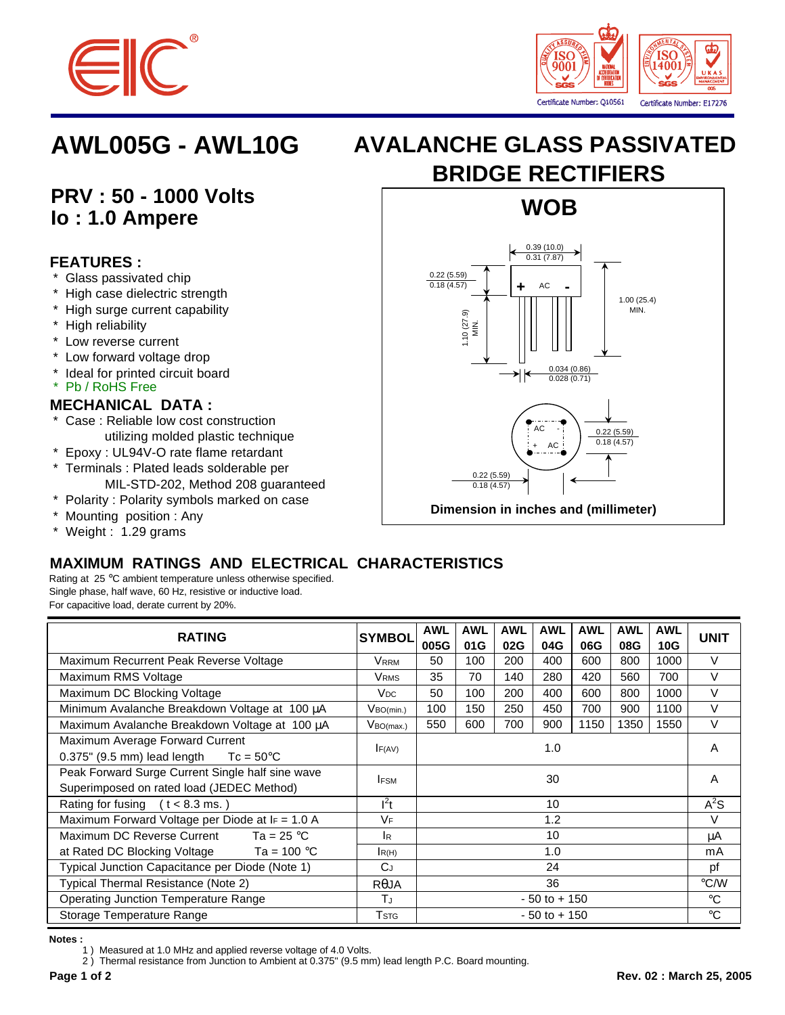



## **PRV : 50 - 1000 Volts Io : 1.0 Ampere**

### **FEATURES :**

- \* Glass passivated chip
- \* High case dielectric strength
- \* High surge current capability
- \* High reliability
- \* Low reverse current
- \* Low forward voltage drop
- \* Ideal for printed circuit board
- \* Pb / RoHS Free

### **MECHANICAL DATA :**

- Case : Reliable low cost construction utilizing molded plastic technique
- \* Epoxy : UL94V-O rate flame retardant
- \* Terminals : Plated leads solderable per MIL-STD-202, Method 208 guaranteed
- \* Polarity : Polarity symbols marked on case
- \* Mounting position : Any

#### \* Weight : 1.29 grams

# **AWL005G - AWL10G AVALANCHE GLASS PASSIVATED BRIDGE RECTIFIERS**



### **MAXIMUM RATINGS AND ELECTRICAL CHARACTERISTICS**

Rating at 25 °C ambient temperature unless otherwise specified. Single phase, half wave, 60 Hz, resistive or inductive load. For capacitive load, derate current by 20%.

| <b>RATING</b>                                        | <b>SYMBOL</b>               | <b>AWL</b><br>005G | <b>AWL</b><br>01G | <b>AWL</b><br>02G | <b>AWL</b><br>04G | <b>AWL</b><br>06G | <b>AWL</b><br>08G | <b>AWL</b><br>10G | <b>UNIT</b> |
|------------------------------------------------------|-----------------------------|--------------------|-------------------|-------------------|-------------------|-------------------|-------------------|-------------------|-------------|
| Maximum Recurrent Peak Reverse Voltage               | <b>VRRM</b>                 | 50                 | 100               | 200               | 400               | 600               | 800               | 1000              | $\vee$      |
| Maximum RMS Voltage                                  | <b>VRMS</b>                 | 35                 | 70                | 140               | 280               | 420               | 560               | 700               | $\vee$      |
| Maximum DC Blocking Voltage                          | V <sub>DC</sub>             | 50                 | 100               | 200               | 400               | 600               | 800               | 1000              | $\vee$      |
| Minimum Avalanche Breakdown Voltage at 100 µA        | $V_{BO(min.)}$              | 100                | 150               | 250               | 450               | 700               | 900               | 1100              | $\vee$      |
| Maximum Avalanche Breakdown Voltage at 100 µA        | V <sub>BO(max.)</sub>       | 550                | 600               | 700               | 900               | 1150              | 1350              | 1550              | $\vee$      |
| Maximum Average Forward Current                      | 1.0<br>F(AV)                |                    |                   |                   |                   |                   |                   | A                 |             |
| $0.375$ " (9.5 mm) lead length<br>$Tc = 50^{\circ}C$ |                             |                    |                   |                   |                   |                   |                   |                   |             |
| Peak Forward Surge Current Single half sine wave     | <b>IFSM</b>                 | 30                 |                   |                   |                   |                   |                   |                   | A           |
| Superimposed on rated load (JEDEC Method)            |                             |                    |                   |                   |                   |                   |                   |                   |             |
| Rating for fusing $(t < 8.3$ ms.)                    | $l^2t$                      | 10                 |                   |                   |                   |                   |                   | $A^2S$            |             |
| Maximum Forward Voltage per Diode at $I_F = 1.0$ A   | VF                          | 1.2                |                   |                   |                   |                   |                   | $\vee$            |             |
| Maximum DC Reverse Current<br>Ta = 25 $^{\circ}$ C   | IR.                         | 10                 |                   |                   |                   |                   |                   | μA                |             |
| at Rated DC Blocking Voltage $Ta = 100 °C$           | R(H)                        | 1.0                |                   |                   |                   |                   |                   |                   | mA          |
| Typical Junction Capacitance per Diode (Note 1)      | C <sub>J</sub>              | 24                 |                   |                   |                   |                   |                   |                   | pf          |
| Typical Thermal Resistance (Note 2)                  | $R\theta$ JA                | 36                 |                   |                   |                   |                   |                   | $\degree$ C/W     |             |
| <b>Operating Junction Temperature Range</b>          | Tu                          | $-50$ to $+150$    |                   |                   |                   |                   |                   | $^{\circ}C$       |             |
| Storage Temperature Range                            | $\mathsf{T}_{\textsf{STG}}$ | $-50$ to $+150$    |                   |                   |                   |                   |                   |                   | $^{\circ}C$ |

#### **Notes :**

1 ) Measured at 1.0 MHz and applied reverse voltage of 4.0 Volts.

2 ) Thermal resistance from Junction to Ambient at 0.375" (9.5 mm) lead length P.C. Board mounting.